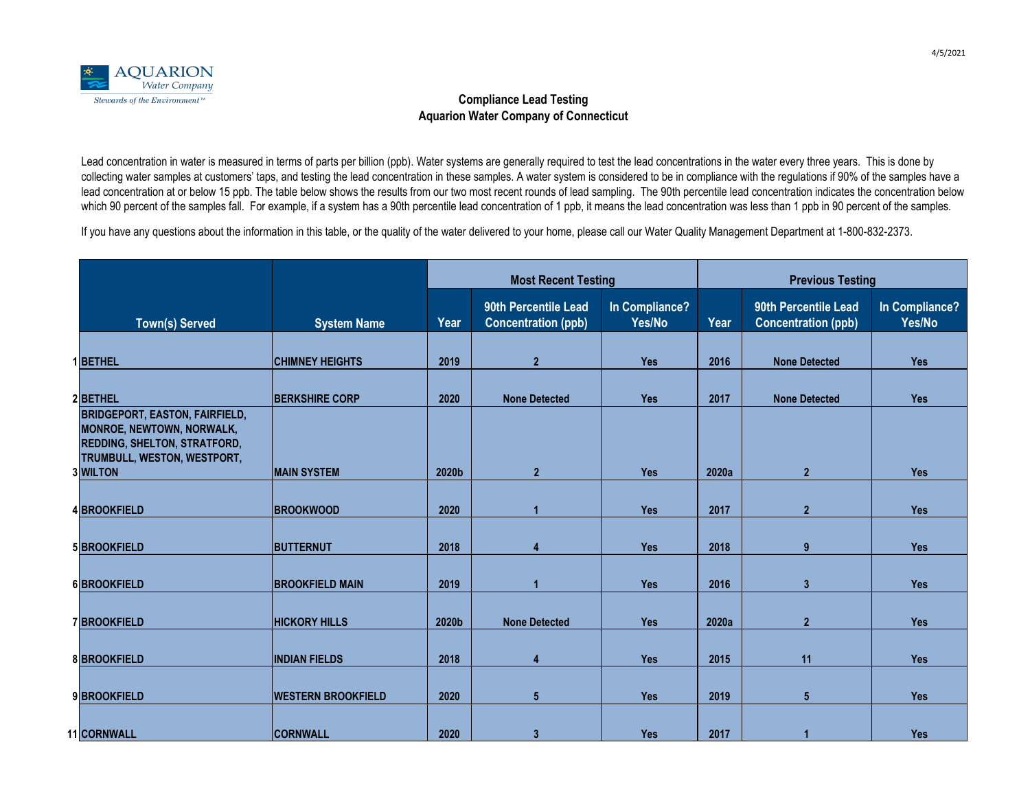|                                                                                                                                                 |                           | <b>Most Recent Testing</b> |                                                    |                          | <b>Previous Testing</b> |                                                    |                          |  |
|-------------------------------------------------------------------------------------------------------------------------------------------------|---------------------------|----------------------------|----------------------------------------------------|--------------------------|-------------------------|----------------------------------------------------|--------------------------|--|
| Town(s) Served                                                                                                                                  | <b>System Name</b>        | Year                       | 90th Percentile Lead<br><b>Concentration (ppb)</b> | In Compliance?<br>Yes/No | Year                    | 90th Percentile Lead<br><b>Concentration (ppb)</b> | In Compliance?<br>Yes/No |  |
| 1 <b>BETHEL</b>                                                                                                                                 | <b>CHIMNEY HEIGHTS</b>    | 2019                       | 2 <sup>1</sup>                                     | <b>Yes</b>               | 2016                    | <b>None Detected</b>                               | <b>Yes</b>               |  |
| 2 <b>BETHEL</b>                                                                                                                                 | <b>BERKSHIRE CORP</b>     | 2020                       | <b>None Detected</b>                               | <b>Yes</b>               | 2017                    | <b>None Detected</b>                               | <b>Yes</b>               |  |
| <b>BRIDGEPORT, EASTON, FAIRFIELD,</b><br><b>MONROE, NEWTOWN, NORWALK,</b><br><b>REDDING, SHELTON, STRATFORD,</b><br>TRUMBULL, WESTON, WESTPORT, |                           |                            |                                                    |                          |                         |                                                    |                          |  |
| <b>3 WILTON</b>                                                                                                                                 | <b>MAIN SYSTEM</b>        | 2020b                      | 2 <sup>1</sup>                                     | <b>Yes</b>               | 2020a                   | $\overline{2}$                                     | <b>Yes</b>               |  |
| 4BROOKFIELD                                                                                                                                     | <b>BROOKWOOD</b>          | 2020                       |                                                    | <b>Yes</b>               | 2017                    | 2 <sup>1</sup>                                     | <b>Yes</b>               |  |
| 5 BROOKFIELD                                                                                                                                    | <b>BUTTERNUT</b>          | 2018                       |                                                    | <b>Yes</b>               | 2018                    | 9                                                  | <b>Yes</b>               |  |
| 6BROOKFIELD                                                                                                                                     | <b>BROOKFIELD MAIN</b>    | 2019                       |                                                    | <b>Yes</b>               | 2016                    | $\mathbf{3}$                                       | <b>Yes</b>               |  |
| 7BROOKFIELD                                                                                                                                     | <b>HICKORY HILLS</b>      | 2020b                      | <b>None Detected</b>                               | <b>Yes</b>               | 2020a                   | 2 <sup>1</sup>                                     | <b>Yes</b>               |  |
| <b>8BROOKFIELD</b>                                                                                                                              | <b>INDIAN FIELDS</b>      | 2018                       | 4                                                  | <b>Yes</b>               | 2015                    | 11                                                 | <b>Yes</b>               |  |
| 9BROOKFIELD                                                                                                                                     | <b>WESTERN BROOKFIELD</b> | 2020                       | $5\phantom{.0}$                                    | <b>Yes</b>               | 2019                    | $5\phantom{1}$                                     | <b>Yes</b>               |  |
| 11 CORNWALL                                                                                                                                     | <b>CORNWALL</b>           | 2020                       |                                                    | <b>Yes</b>               | 2017                    |                                                    | <b>Yes</b>               |  |

If you have any questions about the information in this table, or the quality of the water delivered to your home, please call our Water Quality Management Department at 1-800-832-2373.



## **Compliance Lead Testing Aquarion Water Company of Connecticut**

Lead concentration in water is measured in terms of parts per billion (ppb). Water systems are generally required to test the lead concentrations in the water every three years. This is done by collecting water samples at customers' taps, and testing the lead concentration in these samples. A water system is considered to be in compliance with the regulations if 90% of the samples have a lead concentration at or below 15 ppb. The table below shows the results from our two most recent rounds of lead sampling. The 90th percentile lead concentration indicates the concentration below which 90 percent of the samples fall. For example, if a system has a 90th percentile lead concentration of 1 ppb, it means the lead concentration was less than 1 ppb in 90 percent of the samples.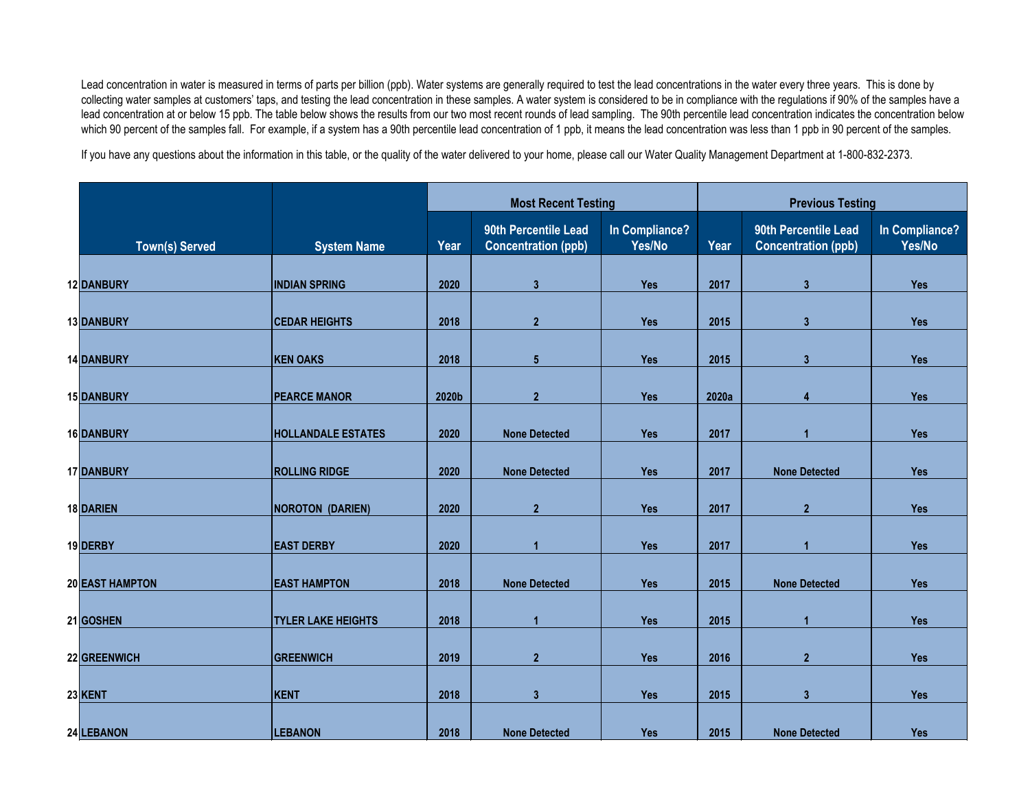|  |                        | <b>Most Recent Testing</b> |       |                                                    | <b>Previous Testing</b>  |       |                                                    |                          |
|--|------------------------|----------------------------|-------|----------------------------------------------------|--------------------------|-------|----------------------------------------------------|--------------------------|
|  | <b>Town(s) Served</b>  | <b>System Name</b>         | Year  | 90th Percentile Lead<br><b>Concentration (ppb)</b> | In Compliance?<br>Yes/No | Year  | 90th Percentile Lead<br><b>Concentration (ppb)</b> | In Compliance?<br>Yes/No |
|  |                        |                            |       |                                                    |                          |       |                                                    |                          |
|  | 12 DANBURY             | <b>INDIAN SPRING</b>       | 2020  | $\mathbf{3}$                                       | <b>Yes</b>               | 2017  | $3\overline{3}$                                    | <b>Yes</b>               |
|  | 13 DANBURY             | <b>CEDAR HEIGHTS</b>       | 2018  | $\overline{2}$                                     | <b>Yes</b>               | 2015  | $3\overline{3}$                                    | <b>Yes</b>               |
|  | <b>14 DANBURY</b>      | <b>KEN OAKS</b>            | 2018  | $5\phantom{.0}$                                    | <b>Yes</b>               | 2015  | $\mathbf{3}$                                       | <b>Yes</b>               |
|  |                        |                            |       |                                                    |                          |       |                                                    |                          |
|  | <b>15 DANBURY</b>      | <b>PEARCE MANOR</b>        | 2020b | $\overline{2}$                                     | <b>Yes</b>               | 2020a | $\overline{4}$                                     | <b>Yes</b>               |
|  | 16 DANBURY             | <b>HOLLANDALE ESTATES</b>  | 2020  | <b>None Detected</b>                               | <b>Yes</b>               | 2017  |                                                    | <b>Yes</b>               |
|  | 17 DANBURY             | <b>ROLLING RIDGE</b>       | 2020  | <b>None Detected</b>                               | <b>Yes</b>               | 2017  | <b>None Detected</b>                               | <b>Yes</b>               |
|  |                        |                            |       |                                                    |                          |       | 2 <sup>1</sup>                                     |                          |
|  | 18 DARIEN              | NOROTON (DARIEN)           | 2020  | $\overline{2}$                                     | <b>Yes</b>               | 2017  |                                                    | <b>Yes</b>               |
|  | 19 DERBY               | <b>EAST DERBY</b>          | 2020  |                                                    | <b>Yes</b>               | 2017  |                                                    | <b>Yes</b>               |
|  | <b>20 EAST HAMPTON</b> | <b>EAST HAMPTON</b>        | 2018  | <b>None Detected</b>                               | <b>Yes</b>               | 2015  | <b>None Detected</b>                               | <b>Yes</b>               |
|  |                        |                            |       |                                                    |                          |       |                                                    |                          |
|  | 21 GOSHEN              | <b>TYLER LAKE HEIGHTS</b>  | 2018  |                                                    | <b>Yes</b>               | 2015  |                                                    | <b>Yes</b>               |
|  | 22 GREENWICH           | <b>GREENWICH</b>           | 2019  | $\overline{2}$                                     | <b>Yes</b>               | 2016  | $\overline{2}$                                     | <b>Yes</b>               |
|  | 23 KENT                | <b>KENT</b>                | 2018  | $\mathbf{3}$                                       | <b>Yes</b>               | 2015  | $3\overline{3}$                                    | <b>Yes</b>               |
|  |                        |                            |       |                                                    |                          |       |                                                    |                          |
|  | 24 LEBANON             | <b>LEBANON</b>             | 2018  | <b>None Detected</b>                               | <b>Yes</b>               | 2015  | <b>None Detected</b>                               | <b>Yes</b>               |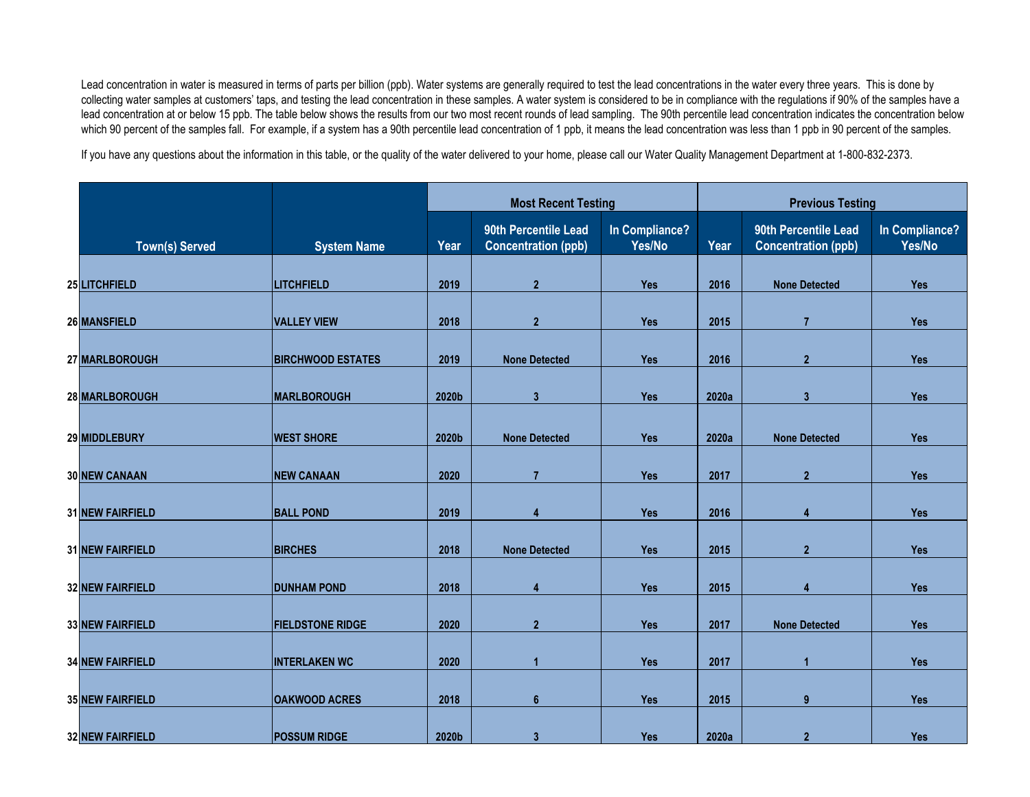|                         |                          | <b>Most Recent Testing</b> |                                                    |                          | <b>Previous Testing</b> |                                                    |                          |
|-------------------------|--------------------------|----------------------------|----------------------------------------------------|--------------------------|-------------------------|----------------------------------------------------|--------------------------|
| <b>Town(s) Served</b>   | <b>System Name</b>       | Year                       | 90th Percentile Lead<br><b>Concentration (ppb)</b> | In Compliance?<br>Yes/No | Year                    | 90th Percentile Lead<br><b>Concentration (ppb)</b> | In Compliance?<br>Yes/No |
| 25 LITCHFIELD           | <b>LITCHFIELD</b>        | 2019                       | $\overline{2}$                                     | <b>Yes</b>               | 2016                    | <b>None Detected</b>                               | <b>Yes</b>               |
|                         |                          |                            |                                                    |                          |                         |                                                    |                          |
| 26 MANSFIELD            | <b>VALLEY VIEW</b>       | 2018                       | $\overline{2}$                                     | <b>Yes</b>               | 2015                    |                                                    | <b>Yes</b>               |
| 27 MARLBOROUGH          | <b>BIRCHWOOD ESTATES</b> | 2019                       | <b>None Detected</b>                               | <b>Yes</b>               | 2016                    | 2 <sup>1</sup>                                     | <b>Yes</b>               |
| 28 MARLBOROUGH          | <b>MARLBOROUGH</b>       | 2020b                      | 3 <sup>5</sup>                                     | <b>Yes</b>               | 2020a                   | 3 <sup>1</sup>                                     | <b>Yes</b>               |
|                         |                          |                            |                                                    |                          |                         |                                                    |                          |
| 29 MIDDLEBURY           | <b>WEST SHORE</b>        | 2020b                      | <b>None Detected</b>                               | <b>Yes</b>               | 2020a                   | <b>None Detected</b>                               | <b>Yes</b>               |
| <b>30 NEW CANAAN</b>    | <b>NEW CANAAN</b>        | 2020                       | $\overline{7}$                                     | <b>Yes</b>               | 2017                    | $\overline{2}$                                     | <b>Yes</b>               |
| <b>31 NEW FAIRFIELD</b> | <b>BALL POND</b>         | 2019                       | $\overline{4}$                                     | <b>Yes</b>               | 2016                    | $\overline{4}$                                     | <b>Yes</b>               |
| <b>31 NEW FAIRFIELD</b> | <b>BIRCHES</b>           | 2018                       | <b>None Detected</b>                               | <b>Yes</b>               | 2015                    | $\overline{2}$                                     | Yes                      |
| <b>32 NEW FAIRFIELD</b> | <b>DUNHAM POND</b>       | 2018                       | $\overline{\mathbf{4}}$                            | <b>Yes</b>               | 2015                    | $\overline{4}$                                     | <b>Yes</b>               |
|                         |                          |                            |                                                    |                          |                         |                                                    |                          |
| <b>33 NEW FAIRFIELD</b> | <b>FIELDSTONE RIDGE</b>  | 2020                       | $\overline{2}$                                     | <b>Yes</b>               | 2017                    | <b>None Detected</b>                               | <b>Yes</b>               |
| <b>34 NEW FAIRFIELD</b> | <b>INTERLAKEN WC</b>     | 2020                       |                                                    | <b>Yes</b>               | 2017                    |                                                    | <b>Yes</b>               |
| <b>35 NEW FAIRFIELD</b> | <b>OAKWOOD ACRES</b>     | 2018                       | $6\phantom{1}$                                     | Yes                      | 2015                    | 9                                                  | <b>Yes</b>               |
| <b>32 NEW FAIRFIELD</b> | <b>POSSUM RIDGE</b>      | 2020b                      | $3\overline{3}$                                    | <b>Yes</b>               | 2020a                   | $\overline{2}$                                     | <b>Yes</b>               |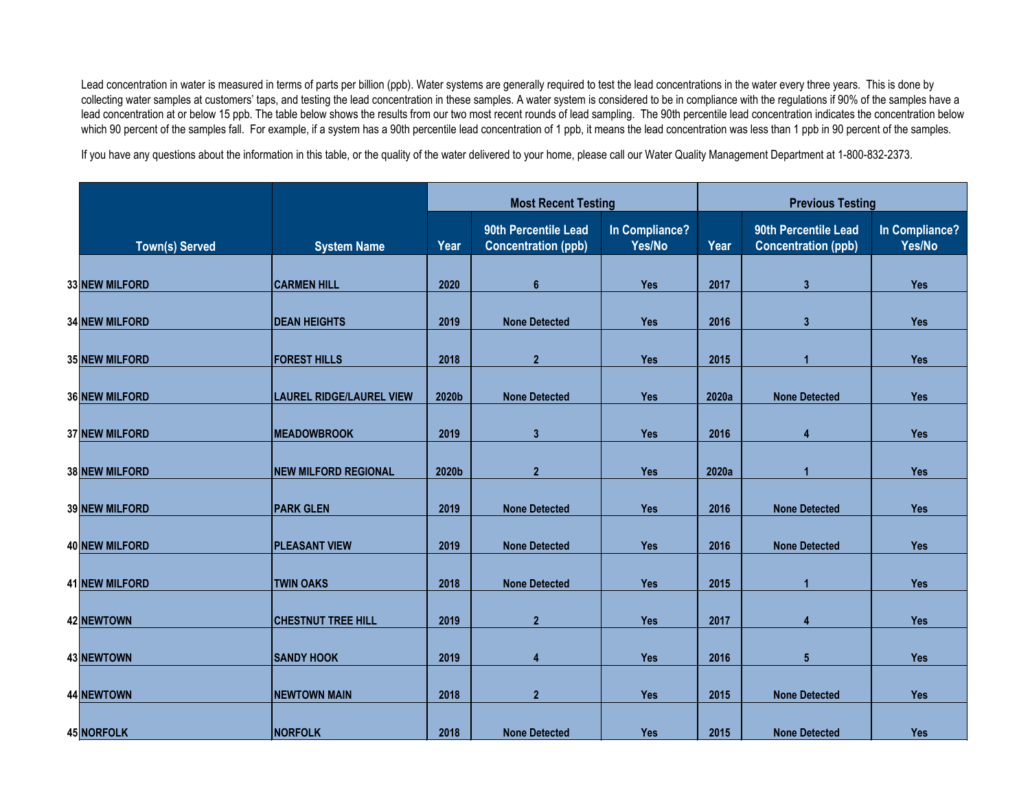|                       |                                 |       | <b>Most Recent Testing</b>                         |                          |       | <b>Previous Testing</b>                            |                          |  |
|-----------------------|---------------------------------|-------|----------------------------------------------------|--------------------------|-------|----------------------------------------------------|--------------------------|--|
| <b>Town(s) Served</b> | <b>System Name</b>              | Year  | 90th Percentile Lead<br><b>Concentration (ppb)</b> | In Compliance?<br>Yes/No | Year  | 90th Percentile Lead<br><b>Concentration (ppb)</b> | In Compliance?<br>Yes/No |  |
| 33 NEW MILFORD        | <b>CARMEN HILL</b>              | 2020  | $6\phantom{1}$                                     | <b>Yes</b>               | 2017  | $3\overline{3}$                                    | <b>Yes</b>               |  |
| <b>34 NEW MILFORD</b> | <b>DEAN HEIGHTS</b>             | 2019  | <b>None Detected</b>                               | <b>Yes</b>               | 2016  | $\mathbf{3}$                                       | <b>Yes</b>               |  |
| <b>35 NEW MILFORD</b> | <b>FOREST HILLS</b>             | 2018  | $\overline{2}$                                     | <b>Yes</b>               | 2015  |                                                    | <b>Yes</b>               |  |
|                       |                                 |       |                                                    |                          |       |                                                    |                          |  |
| <b>36 NEW MILFORD</b> | <b>LAUREL RIDGE/LAUREL VIEW</b> | 2020b | <b>None Detected</b>                               | <b>Yes</b>               | 2020a | <b>None Detected</b>                               | <b>Yes</b>               |  |
| <b>37 NEW MILFORD</b> | <b>MEADOWBROOK</b>              | 2019  | 3 <sup>1</sup>                                     | <b>Yes</b>               | 2016  | 4                                                  | <b>Yes</b>               |  |
| <b>38 NEW MILFORD</b> | <b>NEW MILFORD REGIONAL</b>     | 2020b | $\overline{2}$                                     | <b>Yes</b>               | 2020a |                                                    | <b>Yes</b>               |  |
| <b>39 NEW MILFORD</b> | <b>PARK GLEN</b>                | 2019  | <b>None Detected</b>                               | <b>Yes</b>               | 2016  | <b>None Detected</b>                               | <b>Yes</b>               |  |
| 40 NEW MILFORD        | <b>PLEASANT VIEW</b>            | 2019  | <b>None Detected</b>                               | <b>Yes</b>               | 2016  | <b>None Detected</b>                               | <b>Yes</b>               |  |
| <b>41 NEW MILFORD</b> | <b>TWIN OAKS</b>                | 2018  | <b>None Detected</b>                               | <b>Yes</b>               | 2015  |                                                    | <b>Yes</b>               |  |
| 42 NEWTOWN            | <b>CHESTNUT TREE HILL</b>       | 2019  | $\overline{2}$                                     | Yes                      | 2017  | 4                                                  | <b>Yes</b>               |  |
| 43 NEWTOWN            | <b>SANDY HOOK</b>               | 2019  | 4                                                  | <b>Yes</b>               | 2016  | $5\phantom{1}$                                     | <b>Yes</b>               |  |
| 44 NEWTOWN            | <b>NEWTOWN MAIN</b>             | 2018  | $\overline{2}$                                     | <b>Yes</b>               | 2015  | <b>None Detected</b>                               | <b>Yes</b>               |  |
| 45 NORFOLK            | <b>NORFOLK</b>                  | 2018  | <b>None Detected</b>                               | Yes                      | 2015  | <b>None Detected</b>                               | <b>Yes</b>               |  |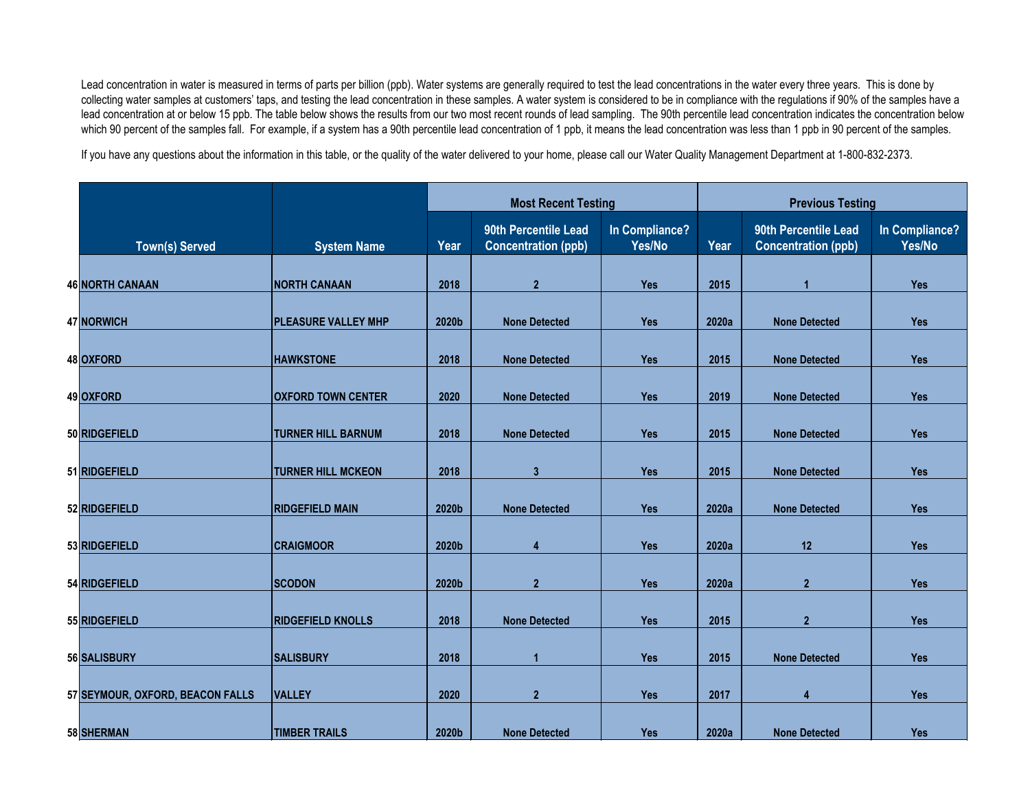|                                  |                            |       |                                                    | <b>Most Recent Testing</b> |       | <b>Previous Testing</b>                            |                          |  |
|----------------------------------|----------------------------|-------|----------------------------------------------------|----------------------------|-------|----------------------------------------------------|--------------------------|--|
| Town(s) Served                   | <b>System Name</b>         | Year  | 90th Percentile Lead<br><b>Concentration (ppb)</b> | In Compliance?<br>Yes/No   | Year  | 90th Percentile Lead<br><b>Concentration (ppb)</b> | In Compliance?<br>Yes/No |  |
|                                  |                            |       |                                                    |                            |       |                                                    |                          |  |
| <b>46 NORTH CANAAN</b>           | <b>NORTH CANAAN</b>        | 2018  | $\overline{2}$                                     | <b>Yes</b>                 | 2015  |                                                    | <b>Yes</b>               |  |
| 47 NORWICH                       | <b>PLEASURE VALLEY MHP</b> | 2020b | <b>None Detected</b>                               | <b>Yes</b>                 | 2020a | <b>None Detected</b>                               | <b>Yes</b>               |  |
| 48 OXFORD                        | <b>HAWKSTONE</b>           | 2018  | <b>None Detected</b>                               | <b>Yes</b>                 | 2015  | <b>None Detected</b>                               | <b>Yes</b>               |  |
|                                  |                            |       |                                                    |                            |       |                                                    |                          |  |
| 49 OXFORD                        | <b>OXFORD TOWN CENTER</b>  | 2020  | <b>None Detected</b>                               | <b>Yes</b>                 | 2019  | <b>None Detected</b>                               | <b>Yes</b>               |  |
| 50 RIDGEFIELD                    | <b>TURNER HILL BARNUM</b>  | 2018  | <b>None Detected</b>                               | <b>Yes</b>                 | 2015  | <b>None Detected</b>                               | <b>Yes</b>               |  |
| 51 RIDGEFIELD                    | <b>TURNER HILL MCKEON</b>  | 2018  | $3\overline{3}$                                    | <b>Yes</b>                 | 2015  | <b>None Detected</b>                               | <b>Yes</b>               |  |
|                                  |                            |       |                                                    |                            |       |                                                    |                          |  |
| 52 RIDGEFIELD                    | <b>RIDGEFIELD MAIN</b>     | 2020b | <b>None Detected</b>                               | Yes                        | 2020a | <b>None Detected</b>                               | <b>Yes</b>               |  |
| 53 RIDGEFIELD                    | <b>CRAIGMOOR</b>           | 2020b | 4                                                  | <b>Yes</b>                 | 2020a | 12                                                 | <b>Yes</b>               |  |
| 54 RIDGEFIELD                    | <b>SCODON</b>              | 2020b | $\overline{2}$                                     | Yes                        | 2020a | 2 <sup>1</sup>                                     | <b>Yes</b>               |  |
|                                  |                            |       |                                                    |                            |       |                                                    |                          |  |
| 55 RIDGEFIELD                    | <b>RIDGEFIELD KNOLLS</b>   | 2018  | <b>None Detected</b>                               | <b>Yes</b>                 | 2015  | $\overline{2}$                                     | <b>Yes</b>               |  |
| 56 SALISBURY                     | <b>SALISBURY</b>           | 2018  |                                                    | <b>Yes</b>                 | 2015  | <b>None Detected</b>                               | <b>Yes</b>               |  |
| 57 SEYMOUR, OXFORD, BEACON FALLS | <b>VALLEY</b>              | 2020  | $\overline{2}$                                     | <b>Yes</b>                 | 2017  | $\overline{\mathbf{4}}$                            | <b>Yes</b>               |  |
|                                  |                            |       |                                                    |                            |       |                                                    |                          |  |
| 58 SHERMAN                       | <b>TIMBER TRAILS</b>       | 2020b | <b>None Detected</b>                               | Yes                        | 2020a | <b>None Detected</b>                               | <b>Yes</b>               |  |